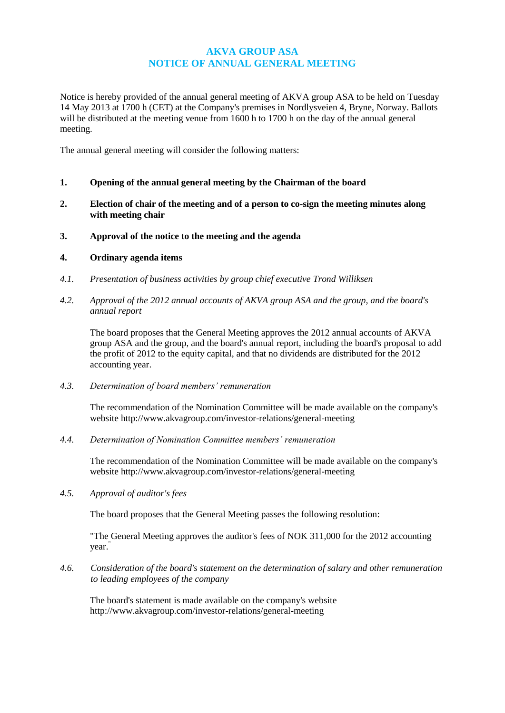# **AKVA GROUP ASA NOTICE OF ANNUAL GENERAL MEETING**

Notice is hereby provided of the annual general meeting of AKVA group ASA to be held on Tuesday 14 May 2013 at 1700 h (CET) at the Company's premises in Nordlysveien 4, Bryne, Norway. Ballots will be distributed at the meeting venue from 1600 h to 1700 h on the day of the annual general meeting.

The annual general meeting will consider the following matters:

- **1. Opening of the annual general meeting by the Chairman of the board**
- **2. Election of chair of the meeting and of a person to co-sign the meeting minutes along with meeting chair**
- **3. Approval of the notice to the meeting and the agenda**

## **4. Ordinary agenda items**

- *4.1. Presentation of business activities by group chief executive Trond Williksen*
- *4.2. Approval of the 2012 annual accounts of AKVA group ASA and the group, and the board's annual report*

The board proposes that the General Meeting approves the 2012 annual accounts of AKVA group ASA and the group, and the board's annual report, including the board's proposal to add the profit of 2012 to the equity capital, and that no dividends are distributed for the 2012 accounting year.

*4.3. Determination of board members' remuneration*

The recommendation of the Nomination Committee will be made available on the company's website http://www.akvagroup.com/investor-relations/general-meeting

*4.4. Determination of Nomination Committee members' remuneration*

The recommendation of the Nomination Committee will be made available on the company's website http://www.akvagroup.com/investor-relations/general-meeting

*4.5. Approval of auditor's fees*

The board proposes that the General Meeting passes the following resolution:

"The General Meeting approves the auditor's fees of NOK 311,000 for the 2012 accounting year. "

*4.6. Consideration of the board's statement on the determination of salary and other remuneration to leading employees of the company*

The board's statement is made available on the company's website http://www.akvagroup.com/investor-relations/general-meeting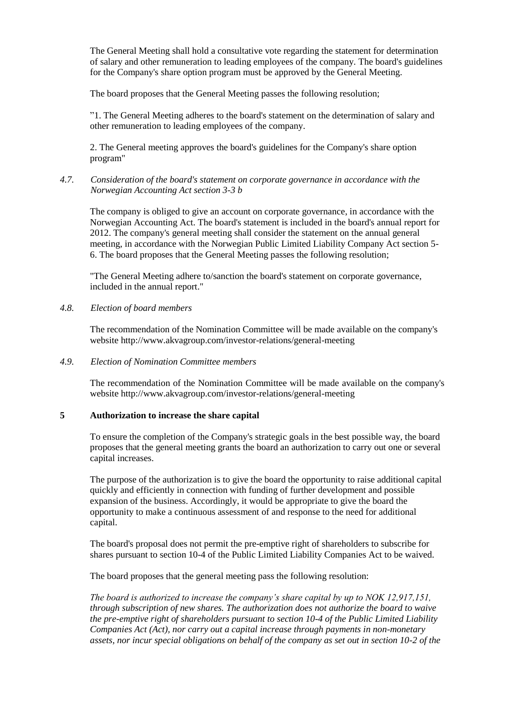The General Meeting shall hold a consultative vote regarding the statement for determination of salary and other remuneration to leading employees of the company. The board's guidelines for the Company's share option program must be approved by the General Meeting.

The board proposes that the General Meeting passes the following resolution;

"1. The General Meeting adheres to the board's statement on the determination of salary and other remuneration to leading employees of the company.

2. The General meeting approves the board's guidelines for the Company's share option program"

### *4.7. Consideration of the board's statement on corporate governance in accordance with the Norwegian Accounting Act section 3-3 b*

The company is obliged to give an account on corporate governance, in accordance with the Norwegian Accounting Act. The board's statement is included in the board's annual report for 2012. The company's general meeting shall consider the statement on the annual general meeting, in accordance with the Norwegian Public Limited Liability Company Act section 5- 6. The board proposes that the General Meeting passes the following resolution;

"The General Meeting adhere to/sanction the board's statement on corporate governance, included in the annual report."

### *4.8. Election of board members*

The recommendation of the Nomination Committee will be made available on the company's website http://www.akvagroup.com/investor-relations/general-meeting

### *4.9. Election of Nomination Committee members*

The recommendation of the Nomination Committee will be made available on the company's website http://www.akvagroup.com/investor-relations/general-meeting

# **5 Authorization to increase the share capital**

To ensure the completion of the Company's strategic goals in the best possible way, the board proposes that the general meeting grants the board an authorization to carry out one or several capital increases.

The purpose of the authorization is to give the board the opportunity to raise additional capital quickly and efficiently in connection with funding of further development and possible expansion of the business. Accordingly, it would be appropriate to give the board the opportunity to make a continuous assessment of and response to the need for additional capital.

The board's proposal does not permit the pre-emptive right of shareholders to subscribe for shares pursuant to section 10-4 of the Public Limited Liability Companies Act to be waived.

The board proposes that the general meeting pass the following resolution:

*The board is authorized to increase the company's share capital by up to NOK 12,917,151, through subscription of new shares. The authorization does not authorize the board to waive the pre-emptive right of shareholders pursuant to section 10-4 of the Public Limited Liability Companies Act (Act), nor carry out a capital increase through payments in non-monetary assets, nor incur special obligations on behalf of the company as set out in section 10-2 of the*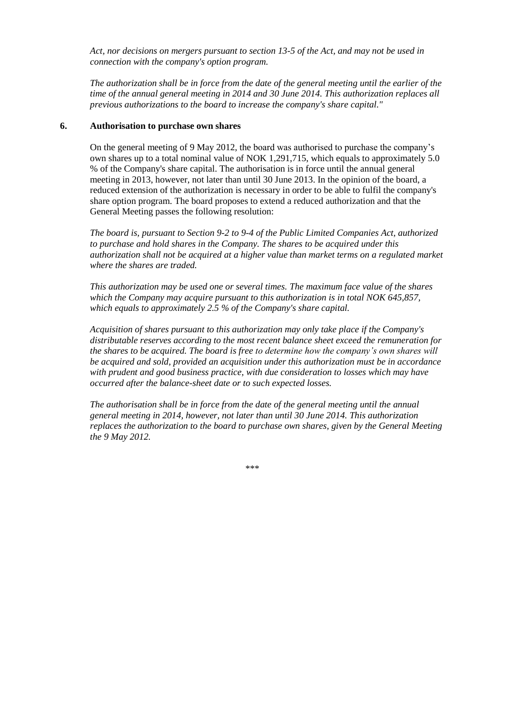*Act, nor decisions on mergers pursuant to section 13-5 of the Act, and may not be used in connection with the company's option program.* 

*The authorization shall be in force from the date of the general meeting until the earlier of the time of the annual general meeting in 2014 and 30 June 2014. This authorization replaces all previous authorizations to the board to increase the company's share capital."*

### **6. Authorisation to purchase own shares**

On the general meeting of 9 May 2012, the board was authorised to purchase the company's own shares up to a total nominal value of NOK 1,291,715, which equals to approximately 5.0 % of the Company's share capital. The authorisation is in force until the annual general meeting in 2013, however, not later than until 30 June 2013. In the opinion of the board, a reduced extension of the authorization is necessary in order to be able to fulfil the company's share option program. The board proposes to extend a reduced authorization and that the General Meeting passes the following resolution:

*The board is, pursuant to Section 9-2 to 9-4 of the Public Limited Companies Act, authorized to purchase and hold shares in the Company. The shares to be acquired under this authorization shall not be acquired at a higher value than market terms on a regulated market where the shares are traded.*

*This authorization may be used one or several times. The maximum face value of the shares which the Company may acquire pursuant to this authorization is in total NOK 645,857, which equals to approximately 2.5 % of the Company's share capital.*

*Acquisition of shares pursuant to this authorization may only take place if the Company's distributable reserves according to the most recent balance sheet exceed the remuneration for the shares to be acquired. The board is free to determine how the company's own shares will be acquired and sold, provided an acquisition under this authorization must be in accordance with prudent and good business practice, with due consideration to losses which may have occurred after the balance-sheet date or to such expected losses.*

*The authorisation shall be in force from the date of the general meeting until the annual general meeting in 2014, however, not later than until 30 June 2014. This authorization replaces the authorization to the board to purchase own shares, given by the General Meeting the 9 May 2012.*

\*\*\*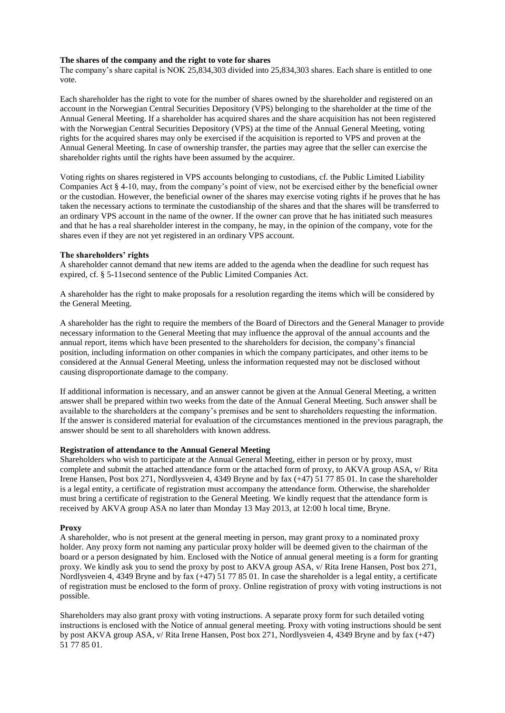#### **The shares of the company and the right to vote for shares**

The company's share capital is NOK 25,834,303 divided into 25,834,303 shares. Each share is entitled to one vote.

Each shareholder has the right to vote for the number of shares owned by the shareholder and registered on an account in the Norwegian Central Securities Depository (VPS) belonging to the shareholder at the time of the Annual General Meeting. If a shareholder has acquired shares and the share acquisition has not been registered with the Norwegian Central Securities Depository (VPS) at the time of the Annual General Meeting, voting rights for the acquired shares may only be exercised if the acquisition is reported to VPS and proven at the Annual General Meeting. In case of ownership transfer, the parties may agree that the seller can exercise the shareholder rights until the rights have been assumed by the acquirer.

Voting rights on shares registered in VPS accounts belonging to custodians, cf. the Public Limited Liability Companies Act § 4-10, may, from the company's point of view, not be exercised either by the beneficial owner or the custodian. However, the beneficial owner of the shares may exercise voting rights if he proves that he has taken the necessary actions to terminate the custodianship of the shares and that the shares will be transferred to an ordinary VPS account in the name of the owner. If the owner can prove that he has initiated such measures and that he has a real shareholder interest in the company, he may, in the opinion of the company, vote for the shares even if they are not yet registered in an ordinary VPS account.

#### **The shareholders' rights**

A shareholder cannot demand that new items are added to the agenda when the deadline for such request has expired, cf. § 5-11second sentence of the Public Limited Companies Act.

A shareholder has the right to make proposals for a resolution regarding the items which will be considered by the General Meeting.

A shareholder has the right to require the members of the Board of Directors and the General Manager to provide necessary information to the General Meeting that may influence the approval of the annual accounts and the annual report, items which have been presented to the shareholders for decision, the company's financial position, including information on other companies in which the company participates, and other items to be considered at the Annual General Meeting, unless the information requested may not be disclosed without causing disproportionate damage to the company.

If additional information is necessary, and an answer cannot be given at the Annual General Meeting, a written answer shall be prepared within two weeks from the date of the Annual General Meeting. Such answer shall be available to the shareholders at the company's premises and be sent to shareholders requesting the information. If the answer is considered material for evaluation of the circumstances mentioned in the previous paragraph, the answer should be sent to all shareholders with known address.

#### **Registration of attendance to the Annual General Meeting**

Shareholders who wish to participate at the Annual General Meeting, either in person or by proxy, must complete and submit the attached attendance form or the attached form of proxy, to AKVA group ASA, v/ Rita Irene Hansen, Post box 271, Nordlysveien 4, 4349 Bryne and by fax (+47) 51 77 85 01. In case the shareholder is a legal entity, a certificate of registration must accompany the attendance form. Otherwise, the shareholder must bring a certificate of registration to the General Meeting. We kindly request that the attendance form is received by AKVA group ASA no later than Monday 13 May 2013, at 12:00 h local time, Bryne.

#### **Proxy**

A shareholder, who is not present at the general meeting in person, may grant proxy to a nominated proxy holder. Any proxy form not naming any particular proxy holder will be deemed given to the chairman of the board or a person designated by him. Enclosed with the Notice of annual general meeting is a form for granting proxy. We kindly ask you to send the proxy by post to AKVA group ASA, v/ Rita Irene Hansen, Post box 271, Nordlysveien 4, 4349 Bryne and by fax (+47) 51 77 85 01. In case the shareholder is a legal entity, a certificate of registration must be enclosed to the form of proxy. Online registration of proxy with voting instructions is not possible.

Shareholders may also grant proxy with voting instructions. A separate proxy form for such detailed voting instructions is enclosed with the Notice of annual general meeting. Proxy with voting instructions should be sent by post AKVA group ASA, v/ Rita Irene Hansen, Post box 271, Nordlysveien 4, 4349 Bryne and by fax (+47) 51 77 85 01.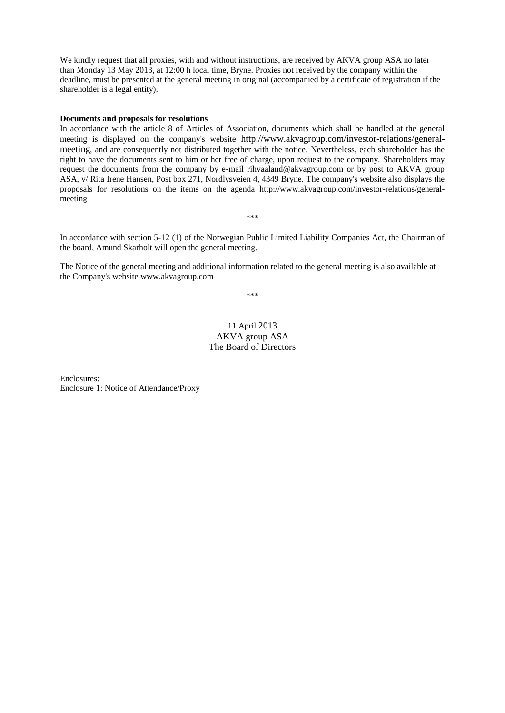We kindly request that all proxies, with and without instructions, are received by AKVA group ASA no later than Monday 13 May 2013, at 12:00 h local time, Bryne. Proxies not received by the company within the deadline, must be presented at the general meeting in original (accompanied by a certificate of registration if the shareholder is a legal entity).

#### **Documents and proposals for resolutions**

In accordance with the article 8 of Articles of Association, documents which shall be handled at the general meeting is displayed on the company's website http://www.akvagroup.com/investor-relations/generalmeeting, and are consequently not distributed together with the notice. Nevertheless, each shareholder has the right to have the documents sent to him or her free of charge, upon request to the company. Shareholders may request the documents from the company by e-mail rihvaaland@akvagroup.com or by post to AKVA group ASA, v/ Rita Irene Hansen, Post box 271, Nordlysveien 4, 4349 Bryne. The company's website also displays the proposals for resolutions on the items on the agenda http://www.akvagroup.com/investor-relations/generalmeeting

In accordance with section 5-12 (1) of the Norwegian Public Limited Liability Companies Act, the Chairman of the board, Amund Skarholt will open the general meeting.

\*\*\*

The Notice of the general meeting and additional information related to the general meeting is also available at the Company's website www.akvagroup.com

\*\*\*

### 11 April 2013 AKVA group ASA The Board of Directors

Enclosures: Enclosure 1: Notice of Attendance/Proxy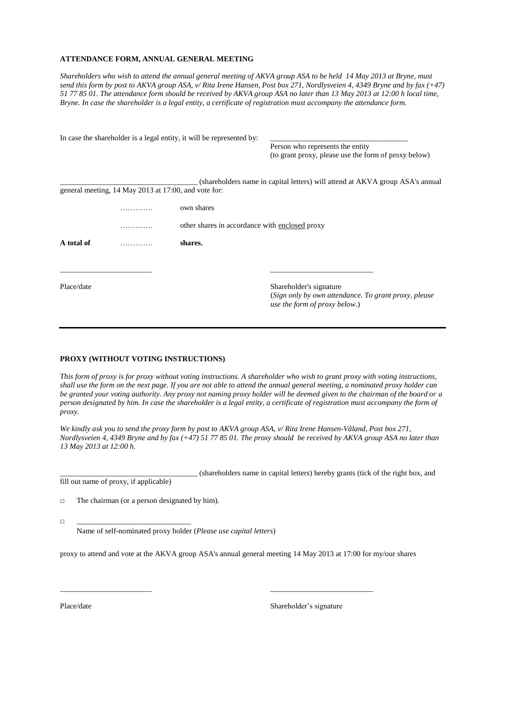#### **ATTENDANCE FORM, ANNUAL GENERAL MEETING**

*Shareholders who wish to attend the annual general meeting of AKVA group ASA to be held 14 May 2013 at Bryne, must send this form by post to AKVA group ASA*, *v/ Rita Irene Hansen, Post box 271, Nordlysveien 4, 4349 Bryne and by fax (+47) 51 77 85 01. The attendance form should be received by AKVA group ASA no later than 13 May 2013 at 12:00 h local time, Bryne. In case the shareholder is a legal entity, a certificate of registration must accompany the attendance form.*

|            |                                                      | In case the shareholder is a legal entity, it will be represented by: |                                                                                                                   |  |  |
|------------|------------------------------------------------------|-----------------------------------------------------------------------|-------------------------------------------------------------------------------------------------------------------|--|--|
|            |                                                      |                                                                       | Person who represents the entity                                                                                  |  |  |
|            |                                                      |                                                                       | (to grant proxy, please use the form of proxy below)                                                              |  |  |
|            |                                                      |                                                                       | (shareholders name in capital letters) will attend at AKVA group ASA's annual                                     |  |  |
|            | general meeting, 14 May 2013 at 17:00, and vote for: |                                                                       |                                                                                                                   |  |  |
|            |                                                      | own shares                                                            |                                                                                                                   |  |  |
|            |                                                      | other shares in accordance with enclosed proxy                        |                                                                                                                   |  |  |
| A total of | .                                                    | shares.                                                               |                                                                                                                   |  |  |
|            |                                                      |                                                                       |                                                                                                                   |  |  |
| Place/date |                                                      |                                                                       | Shareholder's signature<br>(Sign only by own attendance. To grant proxy, please)<br>use the form of proxy below.) |  |  |

#### **PROXY (WITHOUT VOTING INSTRUCTIONS)**

*This form of proxy is for proxy without voting instructions. A shareholder who wish to grant proxy with voting instructions, shall use the form on the next page. If you are not able to attend the annual general meeting, a nominated proxy holder can be granted your voting authority. Any proxy not naming proxy holder will be deemed given to the chairman of the board or a person designated by him. In case the shareholder is a legal entity, a certificate of registration must accompany the form of proxy.*

*We kindly ask you to send the proxy form by post to AKVA group ASA, v/ Rita Irene Hansen-Våland, Post box 271, Nordlysveien 4, 4349 Bryne and by fax (+47) 51 77 85 01. The proxy should be received by AKVA group ASA no later than 13 May 2013 at 12:00 h.*

\_\_\_\_\_\_\_\_\_\_\_\_\_\_\_\_\_\_\_\_\_\_\_\_\_\_\_\_\_\_\_\_\_\_\_\_ (shareholders name in capital letters) hereby grants (tick of the right box, and fill out name of proxy, if applicable)

 $\Box$  The chairman (or a person designated by him).

□ \_\_\_\_\_\_\_\_\_\_\_\_\_\_\_\_\_\_\_\_\_\_\_\_\_\_\_\_\_\_

Name of self-nominated proxy holder (*Please use capital letters*)

proxy to attend and vote at the AKVA group ASA's annual general meeting 14 May 2013 at 17:00 for my/our shares

\_\_\_\_\_\_\_\_\_\_\_\_\_\_\_\_\_\_\_\_\_\_\_\_ \_\_\_\_\_\_\_\_\_\_\_\_\_\_\_\_\_\_\_\_\_\_\_\_\_\_\_

Place/date Shareholder's signature